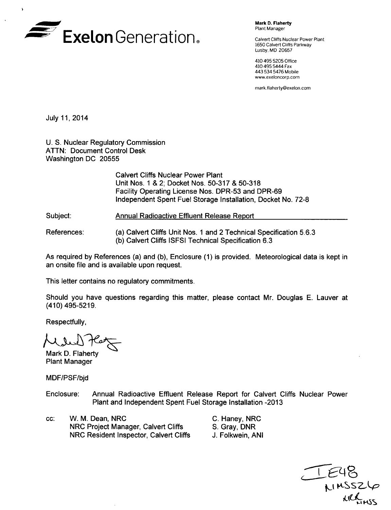

Mark **D.** Flaherty Plant Manager

Calvert Cliffs Nuclear Power Plant 1650 Calvert Cliffs Parkway Lusby, MD 20657

410 495 5205 Office 410 495 5444 Fax 443 534 5476 Mobile www.exeloncorp.com

mnark.flaherty@exelon.com

July 11, 2014

 $\lambda$ 

U. S. Nuclear Regulatory Commission ATTN: Document Control Desk Washington DC 20555

> Calvert Cliffs Nuclear Power Plant Unit Nos. 1 & 2; Docket Nos. 50-317 & 50-318 Facility Operating License Nos. DPR-53 and DPR-69 Independent Spent Fuel Storage Installation, Docket No. 72-8

Subject: Annual Radioactive Effluent Release Report

(a) Calvert Cliffs Unit Nos. 1 and 2 Technical Specification 5.6.3 (b) Calvert Cliffs ISFSI Technical Specification 6.3 References:

As required by References (a) and (b), Enclosure (1) is provided. Meteorological data is kept in an onsite file and is available upon request.

This letter contains no regulatory commitments.

Should you have questions regarding this matter, please contact Mr. Douglas E. Lauver at (410) 495-5219.

Respectfully,

Mark D. Flaherty Plant Manager

MDF/PSF/bjd

- Enclosure: Annual Radioactive Effluent Release Report for Calvert Cliffs Nuclear Power Plant and Independent Spent Fuel Storage Installation -2013
- cc: W. M. Dean, NRC NRC Project Manager, Calvert Cliffs NRC Resident Inspector, Calvert Cliffs
- C. Haney, NRC S. Gray, DNR J. Folkwein, ANI

**tjC-SSA )aLL**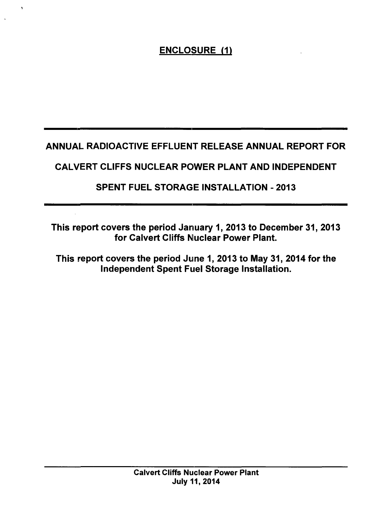# ANNUAL RADIOACTIVE EFFLUENT RELEASE ANNUAL REPORT FOR

# CALVERT CLIFFS NUCLEAR POWER PLANT AND INDEPENDENT

# SPENT FUEL STORAGE INSTALLATION - 2013

This report covers the period January 1, 2013 to December 31, 2013 for Calvert Cliffs Nuclear Power Plant.

This report covers the period June 1, 2013 to May 31, 2014 for the Independent Spent Fuel Storage Installation.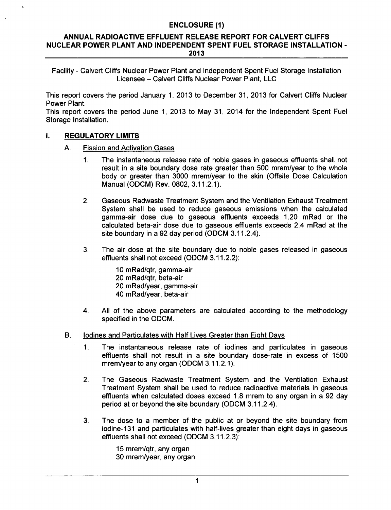### **ANNUAL** RADIOACTIVE **EFFLUENT RELEASE** REPORT FOR CALVERT **CLIFFS NUCLEAR** POWER **PLANT AND INDEPENDENT SPENT FUEL** STORAGE **INSTALLATION** - **2013**

Facility - Calvert Cliffs Nuclear Power Plant and Independent Spent Fuel Storage Installation Licensee - Calvert Cliffs Nuclear Power Plant, LLC

This report covers the period January 1, 2013 to December 31, 2013 for Calvert Cliffs Nuclear Power Plant.

This report covers the period June 1, 2013 to May 31, 2014 for the Independent Spent Fuel Storage Installation.

#### Ī. REGULATORY LIMITS

- A. Fission and Activation Gases
	- 1. The instantaneous release rate of noble gases in gaseous effluents shall not result in a site boundary dose rate greater than 500 mrem/year to the whole body or greater than 3000 mrem/year to the skin (Offsite Dose Calculation Manual (ODCM) Rev. 0802, 3.11.2.1).
	- 2. Gaseous Radwaste Treatment System and the Ventilation Exhaust Treatment System shall be used to reduce gaseous emissions when the calculated gamma-air dose due to gaseous effluents exceeds 1.20 mRad or the calculated beta-air dose due to gaseous effluents exceeds 2.4 mRad at the site boundary in a 92 day period (ODCM 3.11.2.4).
	- 3. The air dose at the site boundary due to noble gases released in gaseous effluents shall not exceed (ODCM 3.11.2.2):

10 mRad/qtr, gamma-air 20 mRad/qtr, beta-air 20 mRad/year, gamma-air 40 mRad/year, beta-air

- 4. All of the above parameters are calculated according to the methodology specified in the ODCM.
- B. lodines and Particulates with Half Lives Greater than Eight Days
	- 1. The instantaneous release rate of iodines and particulates in gaseous effluents shall not result in a site boundary dose-rate in excess of 1500 mrem/year to any organ (ODCM 3.11.2.1).
	- 2. The Gaseous Radwaste Treatment System and the Ventilation Exhaust Treatment System shall be used to reduce radioactive materials in gaseous effluents when calculated doses exceed 1.8 mrem to any organ in a 92 day period at or beyond the site boundary (ODCM 3.11.2.4).
	- 3. The dose to a member of the public at or beyond the site boundary from iodine-131 and particulates with half-lives greater than eight days in gaseous effluents shall not exceed (ODCM 3.11.2.3):

15 mrem/qtr, any organ 30 mrem/year, any organ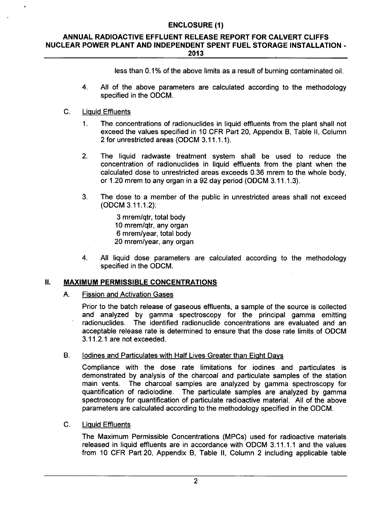## **ANNUAL** RADIOACTIVE **EFFLUENT RELEASE** REPORT FOR CALVERT **CLIFFS NUCLEAR** POWER **PLANT AND INDEPENDENT SPENT FUEL** STORAGE **INSTALLATION** - **2013**

less than 0.1% of the above limits as a result of burning contaminated oil.

- 4. All of the above parameters are calculated according to the methodology specified in the ODCM.
- C. Liquid Effluents
	- 1. The concentrations of radionuclides in liquid effluents from the plant shall not exceed the values specified in 10 CFR Part 20, Appendix B, Table II, Column 2 for unrestricted areas **(ODCM** 3.11.1.1).
	- 2. The liquid radwaste treatment system shall be used to reduce the concentration of radionuclides in liquid effluents from the plant when the calculated dose to unrestricted areas exceeds 0.36 mrem to the whole body, or 1.20 mrem to any organ in a 92 day period **(ODCM** 3.11.1.3).
	- 3. The dose to a member of the public in unrestricted areas shall not exceed **(ODCM** 3.11.1.2):

3 mrem/qtr, total body 10 mrem/qtr, any organ 6 mrem/year, total body 20 mrem/year, any organ

4. All liquid dose parameters are calculated according to the methodology specified in the **ODCM.**

## **I1.** MAXIMUM PERMISSIBLE **CONCENTRATIONS**

A. Fission and Activation Gases

Prior to the batch release of gaseous effluents, a sample of the source is collected and analyzed by gamma spectroscopy for the principal gamma emitting radionuclides. The identified radionuclide concentrations are evaluated and an acceptable release rate is determined to ensure that the dose rate limits of **ODCM** 3.11.2.1 are not exceeded.

B. lodines and Particulates with Half Lives Greater than Eight Days

Compliance with the dose rate limitations for iodines and particulates is demonstrated by analysis of the charcoal and particulate samples of the station main vents. The charcoal samples are analyzed by gamma spectroscopy for quantification of radioiodine. The particulate samples are analyzed by gamma spectroscopy for quantification of particulate radioactive material. All of the above parameters are calculated according to the methodology specified in the **ODCM.**

C. Liquid Effluents

The Maximum Permissible Concentrations (MPCs) used for radioactive materials released in liquid effluents are in accordance with **ODCM** 3.11.1.1 and the values from 10 CFR Part 20, Appendix B, Table II, Column 2 including applicable table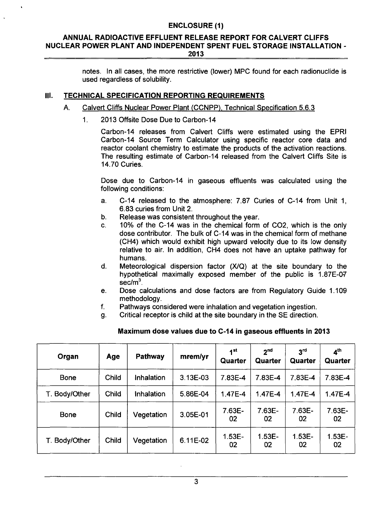#### **ANNUAL** RADIOACTIVE **EFFLUENT RELEASE** REPORT FOR CALVERT **CLIFFS NUCLEAR** POWER **PLANT AND INDEPENDENT SPENT FUEL** STORAGE **INSTALLATION** - **2013**

notes. In all cases, the more restrictive (lower) MPC found for each radionuclide is used regardless of solubility.

## **Ill. TECHNICAL SPECIFICATION** REPORTING **REQUIREMENTS**

#### A. Calvert Cliffs Nuclear Power Plant (CCNPP), Technical Specification 5.6.3

1. 2013 Offsite Dose Due to Carbon-14

Carbon-14 releases from Calvert Cliffs were estimated using the EPRI Carbon-14 Source Term Calculator using specific reactor core data and reactor coolant chemistry to estimate the products of the activation reactions. The resulting estimate of Carbon-14 released from the Calvert Cliffs Site is 14.70 Curies.

Dose due to Carbon-14 in gaseous effluents was calculated using the following conditions:

- a. C-14 released to the atmosphere: 7.87 Curies of C-14 from Unit 1, 6.83 curies from Unit 2.
- b. Release was consistent throughout the year.
- c. 10% of the C-14 was in the chemical form of C02, which is the only dose contributor. The bulk of C-14 was in the chemical form of methane (CH4) which would exhibit high upward velocity due to its low density relative to air. In addition, CH4 does not have an uptake pathway for humans.
- d. Meteorological dispersion factor (X/Q) at the site boundary to the hypothetical maximally exposed member of the public is 1.87E-07 sec/m<sup>3</sup>.
- e. Dose calculations and dose factors are from Regulatory Guide 1.109 methodology.
- f. Pathways considered were inhalation and vegetation ingestion.
- g. Critical receptor is child at the site boundary in the SE direction.

| Organ         | Age   | <b>Pathway</b> | mrem/yr  | 1 <sup>st</sup><br>Quarter | 2 <sub>nd</sub><br>Quarter | 3 <sup>rd</sup><br>Quarter | 4 <sup>th</sup><br>Quarter |
|---------------|-------|----------------|----------|----------------------------|----------------------------|----------------------------|----------------------------|
| <b>Bone</b>   | Child | Inhalation     | 3.13E-03 | 7.83E-4                    | 7.83E-4                    | 7.83E-4                    | 7.83E-4                    |
| T. Body/Other | Child | Inhalation     | 5.86E-04 | 1.47E-4                    | 1.47E-4                    | 1.47E-4                    | 1.47E-4                    |
| <b>Bone</b>   | Child | Vegetation     | 3.05E-01 | 7.63E-<br>02               | 7.63E-<br>02               | 7.63E-<br>02               | 7.63E-<br>02               |
| T. Body/Other | Child | Vegetation     | 6.11E-02 | $1.53E -$<br>02            | $1.53E -$<br>02            | $1.53E -$<br>02            | $1.53E -$<br>02            |

## Maximum dose values due to C-14 in gaseous effluents in **2013**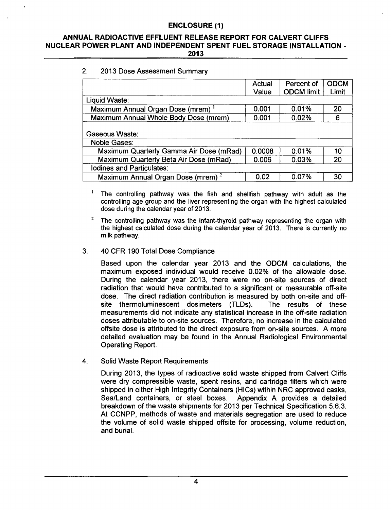## **ANNUAL** RADIOACTIVE **EFFLUENT RELEASE** REPORT FOR CALVERT **CLIFFS NUCLEAR** POWER **PLANT AND INDEPENDENT SPENT FUEL** STORAGE **INSTALLATION** - **2013**

## 2. 2013 Dose Assessment Summary

|                                               | Actual<br>Value | Percent of<br><b>ODCM limit</b> | <b>ODCM</b><br>Limit |
|-----------------------------------------------|-----------------|---------------------------------|----------------------|
| Liquid Waste:                                 |                 |                                 |                      |
| Maximum Annual Organ Dose (mrem) <sup>1</sup> | 0.001           | 0.01%                           | 20                   |
| Maximum Annual Whole Body Dose (mrem)         | 0.001           | 0.02%                           | 6                    |
| Gaseous Waste:<br><b>Noble Gases:</b>         |                 |                                 |                      |
| Maximum Quarterly Gamma Air Dose (mRad)       | 0.0008          | 0.01%                           | 10                   |
| Maximum Quarterly Beta Air Dose (mRad)        | 0.006           | 0.03%                           | 20                   |
| Iodines and Particulates:                     |                 |                                 |                      |
| Maximum Annual Organ Dose (mrem) <sup>2</sup> | 0.02            | 0.07%                           | 30                   |

 $\mathbf{I}$ The controlling pathway was the fish and shellfish pathway with adult as the controlling age group and the liver representing the organ with the highest calculated dose during the calendar year of 2013.

<sup>2</sup> The controlling pathway was the infant-thyroid pathway representing the organ with the highest calculated dose during the calendar year of 2013. There is currently no milk pathway.

#### 3. 40 CFR 190 Total Dose Compliance

Based upon the calendar year 2013 and the ODCM calculations, the maximum exposed individual would receive 0.02% of the allowable dose. During the calendar year 2013, there were no on-site sources of direct radiation that would have contributed to a significant or measurable off-site dose. The direct radiation contribution is measured by both on-site and offsite thermoluminescent dosimeters (TLDs). The results of these measurements did not indicate any statistical increase in the off-site radiation doses attributable to on-site sources. Therefore, no increase in the calculated offsite dose is attributed to the direct exposure from on-site sources. A more detailed evaluation may be found in the Annual Radiological Environmental Operating Report.

4. Solid Waste Report Requirements

During 2013, the types of radioactive solid waste shipped from Calvert Cliffs were dry compressible waste, spent resins, and cartridge filters which were shipped in either High Integrity Containers (HICs) within NRC approved casks, Sea/Land containers, or steel boxes. Appendix A provides a detailed Sea/Land containers, or steel boxes. breakdown of the waste shipments for 2013 per Technical Specification 5.6.3. At CCNPP, methods of waste and materials segregation are used to reduce the volume of solid waste shipped offsite for processing, volume reduction, and burial.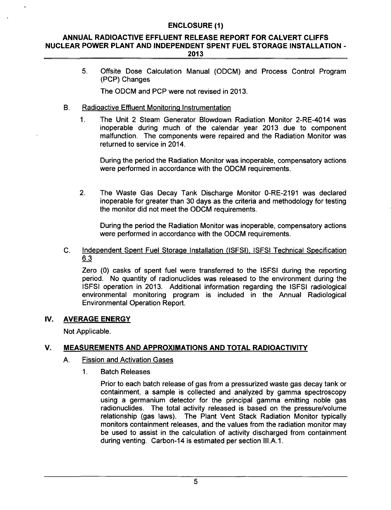## **ANNUAL** RADIOACTIVE **EFFLUENT RELEASE** REPORT FOR CALVERT **CLIFFS NUCLEAR** POWER **PLANT AND INDEPENDENT SPENT FUEL** STORAGE **INSTALLATION** - **2013**

5. Offsite Dose Calculation Manual (ODCM) and Process Control Program (PCP) Changes

The ODCM and PCP were not revised in 2013.

- B. Radioactive Effluent Monitoring Instrumentation
	- 1. The Unit 2 Steam Generator Blowdown Radiation Monitor 2-RE-4014 was inoperable during much of the calendar year 2013 due to component malfunction. The components were repaired and the Radiation Monitor was returned to service in 2014.

During the period the Radiation Monitor was inoperable, compensatory actions were performed in accordance with the ODCM requirements.

2. The Waste Gas Decay Tank Discharge Monitor 0-RE-2191 was declared inoperable for greater than 30 days as the criteria and methodology for testing the monitor did not meet the ODCM requirements.

During the period the Radiation Monitor was inoperable, compensatory actions were performed in accordance with the ODCM requirements.

C. Independent Spent Fuel Storage Installation (ISFSI), **ISFSI** Technical Specification 6.3

Zero (0) casks of spent fuel were transferred to the ISFSI during the reporting period. No quantity of radionuclides was released to the environment during the ISFSI operation in 2013. Additional information regarding the ISFSI radiological environmental monitoring program is included in the Annual Radiological Environmental Operation Report.

## IV. AVERAGE ENERGY

Not Applicable.

## V. MEASUREMENTS AND APPROXIMATIONS **AND** TOTAL RADIOACTIVITY

## A. Fission and Activation Gases

1. Batch Releases

Prior to each batch release of gas from a pressurized waste gas decay tank or containment, a sample is collected and analyzed by gamma spectroscopy using a germanium detector for the principal gamma emitting noble gas radionuclides. The total activity released is based on the pressure/volume relationship (gas laws). The Plant Vent Stack Radiation Monitor typically monitors containment releases, and the values from the radiation monitor may be used to assist in the calculation of activity discharged from containment during venting. Carbon-14 is estimated per section III.A.I.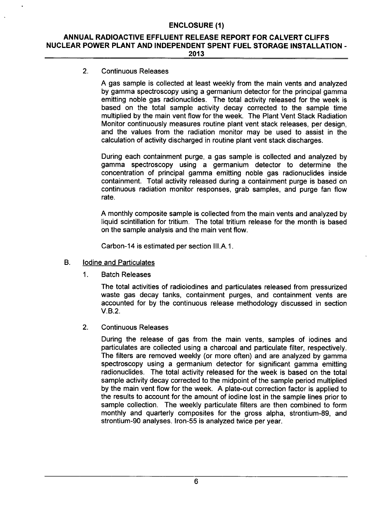#### **ANNUAL** RADIOACTIVE **EFFLUENT RELEASE** REPORT FOR CALVERT **CLIFFS NUCLEAR** POWER **PLANT AND INDEPENDENT SPENT FUEL** STORAGE **INSTALLATION** - **2013**

## 2. Continuous Releases

A gas sample is collected at least weekly from the main vents and analyzed by gamma spectroscopy using a germanium detector for the principal gamma emitting noble gas radionuclides. The total activity released for the week is based on the total sample activity decay corrected to the sample time multiplied by the main vent flow for the week. The Plant Vent Stack Radiation Monitor continuously measures routine plant vent stack releases, per design, and the values from the radiation monitor may be used to assist in the calculation of activity discharged in routine plant vent stack discharges.

During each containment purge, a gas sample is collected and analyzed by gamma spectroscopy using a germanium detector to determine the concentration of principal gamma emitting noble gas radionuclides inside containment. Total activity released during a containment purge is based on continuous radiation monitor responses, grab samples, and purge fan flow rate.

A monthly composite sample is collected from the main vents and analyzed by liquid scintillation for tritium. The total tritium release for the month is based on the sample analysis and the main vent flow.

Carbon-14 is estimated per section III.A.1.

- B. Iodine and Particulates
	- 1. Batch Releases

The total activities of radioiodines and particulates released from pressurized waste gas decay tanks, containment purges, and containment vents are accounted for by the continuous release methodology discussed in section V.B.2.

2. Continuous Releases

During the release of gas from the main vents, samples of iodines and particulates are collected using a charcoal and particulate filter, respectively. The filters are removed weekly (or more often) and are analyzed by gamma spectroscopy using a germanium detector for significant gamma emitting radionuclides. The total activity released for the week is based on the total sample activity decay corrected to the midpoint of the sample period multiplied by the main vent flow for the week. A plate-out correction factor is applied to the results to account for the amount of iodine lost in the sample lines prior to sample collection. The weekly particulate filters are then combined to form monthly and quarterly composites for the gross alpha, strontium-89, and strontium-90 analyses. Iron-55 is analyzed twice per year.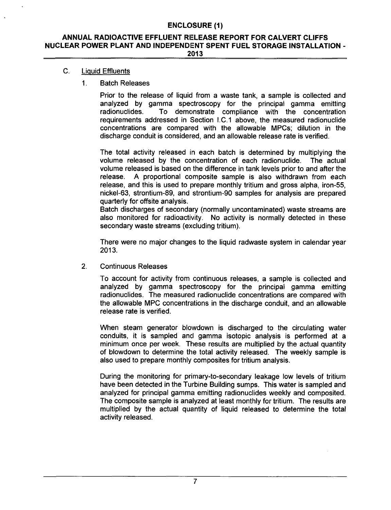#### **ANNUAL** RADIOACTIVE **EFFLUENT RELEASE** REPORT FOR CALVERT **CLIFFS NUCLEAR** POWER **PLANT AND INDEPENDENT SPENT FUEL** STORAGE **INSTALLATION** - **2013**

## C. Liquid Effluents

#### **1.** Batch Releases

Prior to the release of liquid from a waste tank, a sample is collected and analyzed by gamma spectroscopy for the principal gamma emitting radionuclides. To demonstrate compliance with the concentration requirements addressed in Section I.C.1 above, the measured radionuclide concentrations are compared with the allowable MPCs; dilution in the discharge conduit is considered, and an allowable release rate is verified.

The total activity released in each batch is determined by multiplying the volume released by the concentration of each radionuclide. The actual volume released is based on the difference in tank levels prior to and after the release. A proportional composite sample is also withdrawn from each release, and this is used to prepare monthly tritium and gross alpha, iron-55, nickel-63, strontium-89, and strontium-90 samples for analysis are prepared quarterly for offsite analysis.

Batch discharges of secondary (normally uncontaminated) waste streams are also monitored for radioactivity. No activity is normally detected in these secondary waste streams (excluding tritium).

There were no major changes to the liquid radwaste system in calendar year 2013.

2. Continuous Releases

To account for activity from continuous releases, a sampte is collected and analyzed by gamma spectroscopy for the principal gamma emitting radionuclides. The measured radionuclide concentrations are compared with the allowable MPC concentrations in the discharge conduit, and an allowable release rate is verified.

When steam generator blowdown is discharged to the circulating water conduits, it is sampled and gamma isotopic analysis is performed at a minimum once per week. These results are multiplied by the actual quantity of blowdown to determine the total activity released. The weekly sample is also used to prepare monthly composites for tritium analysis.

During the monitoring for primary-to-secondary leakage low levels of tritium have been detected in the Turbine Building sumps. This water is sampled and analyzed for principal gamma emitting radionuclides weekly and composited. The composite sample is analyzed at least monthly for tritium. The results are multiplied by the actual quantity of liquid released to determine the total activity released.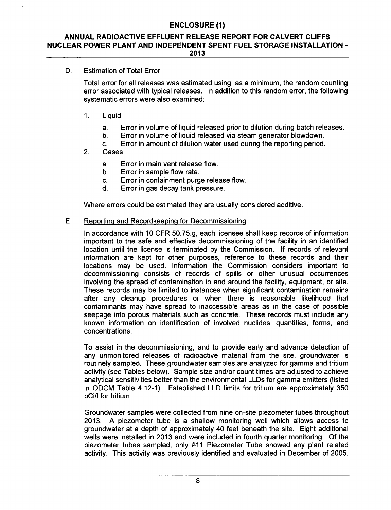#### **ANNUAL** RADIOACTIVE **EFFLUENT RELEASE** REPORT FOR CALVERT **CLIFFS NUCLEAR** POWER **PLANT AND INDEPENDENT SPENT FUEL** STORAGE **INSTALLATION** - **2013**

## D. Estimation of Total Error

Total error for all releases was estimated using, as a minimum, the random counting error associated with typical releases. In addition to this random error, the following systematic errors were also examined:

- 1. Liquid
	- a. Error in volume of liquid released prior to dilution during batch releases.
	- b. Error in volume of liquid released via steam generator blowdown.
	- c. Error in amount of dilution water used during the reporting period.
- 2. Gases
	- a. Error in main vent release flow.<br>b. Error in sample flow rate.
	- Error in sample flow rate.
	- c. Error in containment purge release flow.
	- d. Error in gas decay tank pressure.

Where errors could be estimated they are usually considered additive.

#### E. Reporting and Recordkeepinq for Decommissioning

In accordance with 10 CFR 50.75.g, each licensee shall keep records of information important to the safe and effective decommissioning of the facility in an identified location until the license is terminated by the Commission. If records of relevant information are kept for other purposes, reference to these records and their locations may be used. Information the Commission considers important to decommissioning consists of records of spills or other unusual occurrences involving the spread of contamination in and around the facility, equipment, or site. These records may be limited to instances when significant contamination remains after any cleanup procedures or when there is reasonable likelihood that contaminants may have spread to inaccessible areas as in the case of possible seepage into porous materials such as concrete. These records must include any known information on identification of involved nuclides, quantities, forms, and concentrations.

To assist in the decommissioning, and to provide early and advance detection of any unmonitored releases of radioactive material from the site, groundwater is routinely sampled. These groundwater samples are analyzed for gamma and tritium activity (see Tables below). Sample size and/or count times are adjusted to achieve analytical sensitivities better than the environmental LLDs for gamma emitters (listed in ODCM Table 4.12-1). Established LLD limits for tritium are approximately 350 pCi/I for tritium.

Groundwater samples were collected from nine on-site piezometer tubes throughout 2013. A piezometer tube is a shallow monitoring well which allows access to groundwater at a depth of approximately 40 feet beneath the site. Eight additional wells were installed in 2013 and were included in fourth quarter monitoring. Of the piezometer tubes sampled, only #11 Piezometer Tube showed any plant related activity. This activity was previously identified and evaluated in December of 2005.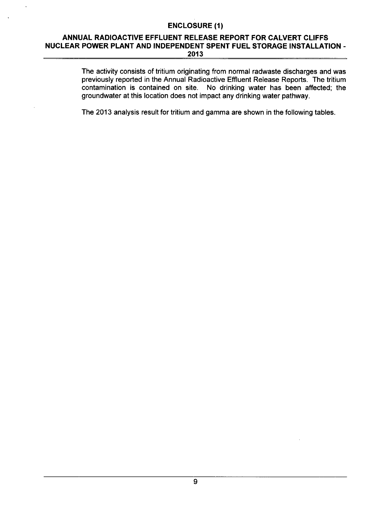### **ANNUAL** RADIOACTIVE **EFFLUENT RELEASE** REPORT FOR CALVERT **CLIFFS NUCLEAR** POWER **PLANT AND INDEPENDENT SPENT FUEL** STORAGE **INSTALLATION** - **2013**

The activity consists of tritium originating from normal radwaste discharges and was previously reported in the Annual Radioactive Effluent Release Reports. The tritium contamination is contained on site. No drinking water has been affected; the groundwater at this location does not impact any drinking water pathway.

The 2013 analysis result for tritium and gamma are shown in the following tables.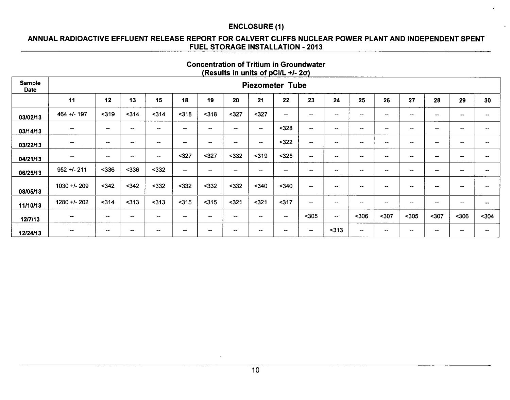## **ANNUAL** RADIOACTIVE **EFFLUENT RELEASE** REPORT FOR CALVERT **CLIFFS NUCLEAR** POWER **PLANT AND INDEPENDENT SPENT FUEL** STORAGE **INSTALLATION** - **2013**

## Concentration of Tritium in Groundwater (Results in units of pCi/L **+/-** 2a)

| Sample<br><b>Date</b> | <b>Piezometer Tube</b>   |                                                |                          |                          |                                                |                          |                                                |                          |                        |                                                   |                                                |                                       |                                   |                                                   |                 |                          |                          |
|-----------------------|--------------------------|------------------------------------------------|--------------------------|--------------------------|------------------------------------------------|--------------------------|------------------------------------------------|--------------------------|------------------------|---------------------------------------------------|------------------------------------------------|---------------------------------------|-----------------------------------|---------------------------------------------------|-----------------|--------------------------|--------------------------|
|                       | 11                       | 12                                             | 13                       | 15                       | 18                                             | 19                       | 20                                             | 21                       | 22                     | 23                                                | 24                                             | 25                                    | 26                                | 27                                                | 28              | 29                       | 30                       |
| 03/02/13              | 464 +/- 197              | $319$                                          | 314                      | $314$                    | $318$                                          | $318$                    | $327$                                          | $327$                    | $\sim$                 | $\overline{\phantom{a}}$                          | $\overline{\phantom{a}}$                       | $\overline{\phantom{a}}$              | $\overline{\phantom{a}}$          | $\overline{\phantom{a}}$                          | --              | $\overline{\phantom{a}}$ | $- -$                    |
| 03/14/13              | $\overline{\phantom{a}}$ | $\hspace{0.1mm}-\hspace{0.1mm}-\hspace{0.1mm}$ | $\hspace{0.5cm}$         | $\hspace{0.05cm}$        | $\overline{\phantom{a}}$                       | $\overline{\phantom{a}}$ | $\hspace{0.1mm}-\hspace{0.1mm}-\hspace{0.1mm}$ | $\qquad \qquad$          | $328$                  | $\qquad \qquad$                                   | $\blacksquare$                                 | $\overline{\phantom{a}}$              | $-$                               | $\sim$                                            | $\sim$ $\sim$   | $\sim$                   | --                       |
| 03/22/13              | $\overline{\phantom{m}}$ | $\hspace{0.1mm}-\hspace{0.1mm}-\hspace{0.1mm}$ | $\overline{\phantom{a}}$ | $\hspace{0.05cm}$        | $\hspace{0.5mm}-\hspace{0.5mm}-\hspace{0.5mm}$ | $\overline{\phantom{a}}$ | $\overline{\phantom{m}}$                       | $\overline{\phantom{a}}$ | $322$                  | $\hspace{0.05cm}-\hspace{0.05cm}-\hspace{0.05cm}$ | $\hspace{0.1mm}-\hspace{0.1mm}-\hspace{0.1mm}$ | $\overline{\phantom{a}}$              | $\sim$                            | $\overline{\phantom{m}}$                          | --              | --                       | $\overline{\phantom{a}}$ |
| 04/21/13              | --                       | $\overline{\phantom{a}}$                       | --                       | $\overline{\phantom{a}}$ | $327$                                          | $327$                    | $332$                                          | $319$                    | $325$                  | $\hspace{0.1mm}-\hspace{0.1mm}-\hspace{0.1mm}$    | $\hspace{0.1mm}-\hspace{0.1mm}-\hspace{0.1mm}$ | $\overline{\phantom{a}}$              | $\hspace{0.05cm}$                 | $\overline{\phantom{a}}$                          | --              | --                       | --                       |
| 06/25/13              | $952 + 211$              | $336$                                          | $336$                    | $332$                    | $\overline{\phantom{m}}$                       | $\qquad \qquad$          | $\overline{\phantom{a}}$                       | --                       | $\sim$                 | $\sim$                                            | $-\!$                                          | $\overline{\phantom{a}}$              | $\hspace{0.05cm}-\hspace{0.05cm}$ | $\hspace{0.05cm}-\hspace{0.05cm}-\hspace{0.05cm}$ | $-$             | $\overline{\phantom{a}}$ | $\overline{\phantom{m}}$ |
| 08/05/13              | 1030 +/- 209             | $342$                                          | $342$                    | $332$                    | $332$                                          | $332$                    | $332$                                          | $340$                    | $340$                  | --                                                | $\overline{\phantom{a}}$                       | $\overline{\phantom{m}}$              | --                                | $\sim$                                            | --              | $\sim$ $\sim$            | $- -$                    |
| 11/10/13              | 1280 +/- 202             | $314$                                          | $313$                    | $313$                    | $315$                                          | $315$                    | $321$                                          | $321$                    | 317                    | $\overline{\phantom{a}}$                          | $\overline{\phantom{m}}$                       | $\hspace{0.05cm}$ – $\hspace{0.05cm}$ | --                                | $\sim$                                            | $\qquad \qquad$ | $\sim$ $\sim$            | --                       |
| 12/7/13               | $\sim$                   | -                                              | --                       | $- -$                    | $\overline{\phantom{a}}$                       | --                       | $\overline{\phantom{a}}$                       | --                       | $\sim$                 | $305$                                             | $\overline{\phantom{a}}$                       | $306$                                 | $307$                             | $305$                                             | $307$           | $306$                    | $304$                    |
| 12/24/13              | $\overline{\phantom{a}}$ | $\overline{\phantom{m}}$                       | $\sim$                   | --                       | $\overline{\phantom{a}}$                       | --                       | $\sim$                                         | --                       | $\qquad \qquad \cdots$ | $\overline{\phantom{a}}$                          | $313$                                          | $\overline{\phantom{a}}$              | $- -$                             | $\overline{\phantom{m}}$                          | --              | $\sim$                   | --                       |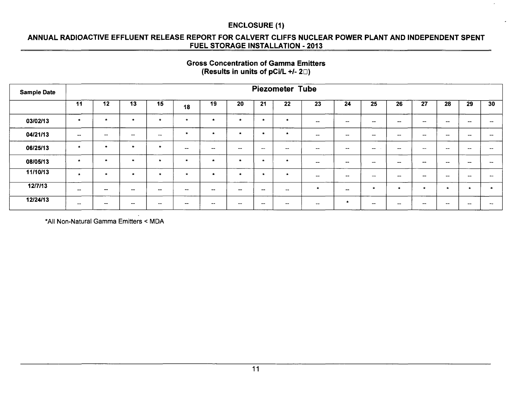## ANNUAL RADIOACTIVE EFFLUENT RELEASE REPORT FOR CALVERT CLIFFS NUCLEAR POWER PLANT AND INDEPENDENT SPENT FUEL STORAGE INSTALLATION - 2013

#### Gross Concentration of Gamma Emitters (Results in units of pCi/L *+1-* 20)

| <b>Sample Date</b> |                                                | <b>Piezometer Tube</b> |                          |           |                          |               |              |                          |                                                |                          |                        |                          |                                                   |                          |                          |                          |           |
|--------------------|------------------------------------------------|------------------------|--------------------------|-----------|--------------------------|---------------|--------------|--------------------------|------------------------------------------------|--------------------------|------------------------|--------------------------|---------------------------------------------------|--------------------------|--------------------------|--------------------------|-----------|
|                    | 11                                             | 12                     | 13                       | 15        | 18                       | 19            | 20           | 21                       | 22                                             | 23                       | 24                     | 25                       | 26                                                | 27                       | 28                       | 29                       | 30        |
| 03/02/13           | $\star$                                        | $\star$                |                          | $\bullet$ | $\star$                  | $\bullet$     |              | $\cdot$                  | $\bullet$                                      | $\sim$                   | $\qquad \qquad$        | $\sim$ $\sim$            | $\overline{\phantom{a}}$                          | $\qquad \qquad$          | $\sim$                   | $\sim$                   | $-$       |
| 04/21/13           | $\sim$                                         | $\sim$                 | $\overline{\phantom{a}}$ | $\sim$    | $\mathbf{r}$             | $\cdot$       |              | $\cdot$                  | $\bullet$                                      | $\overline{\phantom{a}}$ | $\hspace{0.5cm}$       | $\overline{\phantom{m}}$ | $\qquad \qquad$                                   | $\sim$                   | $\overline{\phantom{a}}$ | $\sim$                   | --        |
| 06/25/13           | $\bullet$                                      | $\cdot$                | $\mathbf{r}$             | $\bullet$ | $\sim$                   | $-$           | $\mathbf{m}$ | $-$                      | $\hspace{0.1mm}-\hspace{0.1mm}-\hspace{0.1mm}$ | $\qquad \qquad \cdots$   | $\mathbf{m}$           | $- -$                    | $\hspace{0.05cm}-\hspace{0.05cm}-\hspace{0.05cm}$ | $\overline{\phantom{m}}$ | $\qquad \qquad \cdots$   | $\sim$                   | --        |
| 08/05/13           | $\star$                                        | $\star$                | $\star$                  | $\star$   | $\bullet$                | $\star$       | -4           | $\star$                  | $\bullet$                                      | $\sim$                   | $\sim$                 | $\sim$                   | $\sim$                                            | $\sim$                   | $\sim$                   | --                       | --        |
| 11/10/13           | $\star$                                        | $\bullet$              |                          | $\bullet$ | $\star$                  | $\bullet$     |              | - 6                      | $\bullet$                                      | $-$                      | $\qquad \qquad \cdots$ | $-$                      | $\overline{\phantom{m}}$                          | $- -$                    | $- -$                    | $\sim$                   | --        |
| 12/7/13            | $\overline{\phantom{a}}$                       | $\sim$                 | $\sim$                   | $\sim$    | and an                   | $- -$         | $- -$        | $\overline{\phantom{a}}$ | $\overline{\phantom{m}}$                       | <b>A</b>                 | $\sim$                 | -                        |                                                   |                          | $\star$                  | $\overline{\phantom{a}}$ | $\bullet$ |
| 12/24/13           | $\hspace{0.1mm}-\hspace{0.1mm}-\hspace{0.1mm}$ | $\sim$                 | $- -$                    | --        | $\overline{\phantom{m}}$ | $\sim$ $\sim$ | $- -$        | $\overline{\phantom{m}}$ | $\overline{\phantom{m}}$                       | $\sim$                   | ÷                      | $\sim$                   | $- -$                                             | $- -$                    | $\sim$                   |                          | --        |

**\*All** Non-Natural Gamma Emitters < MDA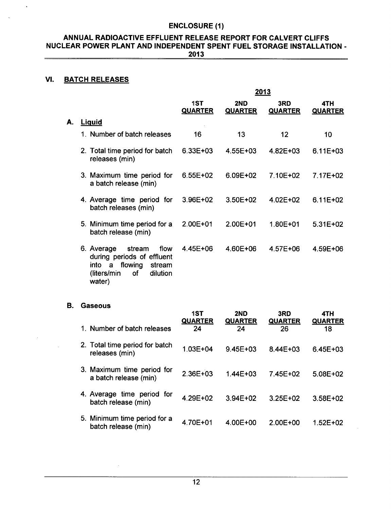#### **ANNUAL** RADIOACTIVE **EFFLUENT RELEASE** REPORT FOR CALVERT **CLIFFS NUCLEAR** POWER **PLANT AND INDEPENDENT SPENT FUEL** STORAGE **INSTALLATION** - **2013**

## **VI.** BATCH **RELEASES**

 $\bar{\mathbf{v}}$ 

|    |                                                                                                                                          |                       |                       | 2013                  |                       |
|----|------------------------------------------------------------------------------------------------------------------------------------------|-----------------------|-----------------------|-----------------------|-----------------------|
|    |                                                                                                                                          | 1ST<br><b>QUARTER</b> | 2ND<br><b>QUARTER</b> | 3RD<br><b>QUARTER</b> | 4TH<br><b>QUARTER</b> |
| А. | <b>Liguid</b>                                                                                                                            |                       |                       |                       |                       |
|    | 1. Number of batch releases                                                                                                              | 16                    | 13                    | 12                    | 10                    |
|    | 2. Total time period for batch<br>releases (min)                                                                                         | $6.33E + 03$          | 4.55E+03              | $4.82E + 03$          | $6.11E + 03$          |
|    | 3. Maximum time period for<br>a batch release (min)                                                                                      | $6.55E + 02$          | 6.09E+02              | 7.10E+02              | 7.17E+02              |
|    | 4. Average time period for<br>batch releases (min)                                                                                       | $3.96E + 02$          | 3.50E+02              | 4.02E+02              | $6.11E + 02$          |
|    | 5. Minimum time period for a<br>batch release (min)                                                                                      | 2.00E+01              | 2.00E+01              | 1.80E+01              | 5.31E+02              |
|    | 6. Average<br>stream<br>flow<br>during periods of effluent<br>flowing<br>into<br>a<br>stream<br>(liters/min)<br>dilution<br>0f<br>water) | $4.45E + 06$          | 4.60E+06              | 4.57E+06              | 4.59E+06              |

#### B. Gaseous

 $\sim$ 

| 1. Number of batch releases                         | 1ST<br><b>QUARTER</b><br>24 | 2ND<br><b>QUARTER</b><br>24 | 3RD<br><b>QUARTER</b><br>26 | 4TH<br><b>QUARTER</b><br>18 |
|-----------------------------------------------------|-----------------------------|-----------------------------|-----------------------------|-----------------------------|
| 2. Total time period for batch<br>releases (min)    | 1.03E+04                    | $9.45E + 03$                | 8.44E+03                    | $6.45E + 03$                |
| 3. Maximum time period for<br>a batch release (min) | 2.36E+03                    | $1.44F + 0.3$               | 7.45E+02                    | $5.08E + 02$                |
| 4. Average time period for<br>batch release (min)   | 4.29E+02                    | $3.94E + 02$                | 3.25E+02                    | $3.58E + 02$                |
| 5. Minimum time period for a<br>batch release (min) | 4.70E+01                    | $4.00E + 00$                | 2.00E+00                    | $1.52E + 02$                |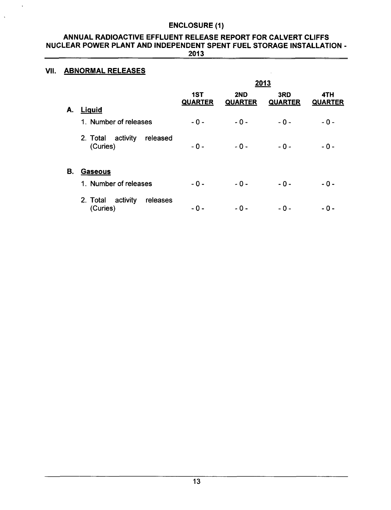#### ANNUAL RADIOACTIVE EFFLUENT RELEASE REPORT FOR CALVERT CLIFFS NUCLEAR POWER PLANT AND INDEPENDENT SPENT FUEL STORAGE INSTALLATION - 2013

## VII. ABNORMAL RELEASES

 $\ddot{\phantom{a}}$ 

|    |                                              |                       | 2013                  |                       |                       |  |  |  |  |  |  |
|----|----------------------------------------------|-----------------------|-----------------------|-----------------------|-----------------------|--|--|--|--|--|--|
| А. | <b>Liguid</b>                                | 1ST<br><b>QUARTER</b> | 2ND<br><b>QUARTER</b> | 3RD<br><b>QUARTER</b> | 4TH<br><b>QUARTER</b> |  |  |  |  |  |  |
|    | 1. Number of releases                        | $-0-$                 | $-0-$                 | $-0-$                 | $-0-$                 |  |  |  |  |  |  |
|    | 2. Total activity<br>released<br>(Curies)    | $-0-$                 | $-0-$                 | $-0-$                 | $-0-$                 |  |  |  |  |  |  |
| В. | <b>Gaseous</b>                               |                       |                       |                       |                       |  |  |  |  |  |  |
|    | 1. Number of releases                        | $-0-$                 | $-0-$                 | $-0-$                 | $-0-$                 |  |  |  |  |  |  |
|    | activity<br>2. Total<br>releases<br>(Curies) | - 0 -                 | - 0 -                 | - 0 -                 | - 0 -                 |  |  |  |  |  |  |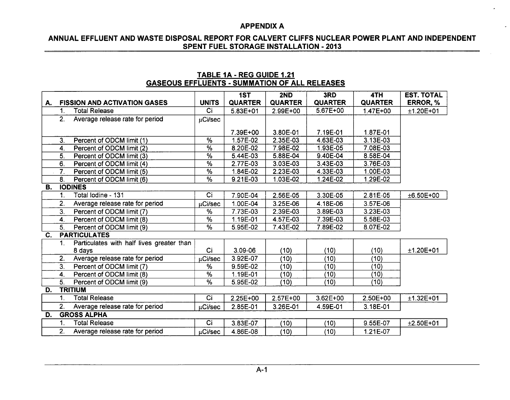$\overline{\phantom{a}}$ 

## **ANNUAL EFFLUENT AND** WASTE **DISPOSAL** REPORT FOR CALVERT **CLIFFS NUCLEAR** POWER **PLANT AND INDEPENDENT SPENT FUEL** STORAGE **INSTALLATION** - **2013**

|    | <u>UAULUUU LIII LULINIU "UUINIIIA IIUN UI ALLINLLAULU</u> |                                           |                 |                |                |                |                |                   |  |  |  |  |  |
|----|-----------------------------------------------------------|-------------------------------------------|-----------------|----------------|----------------|----------------|----------------|-------------------|--|--|--|--|--|
|    |                                                           |                                           |                 | 1ST            | 2ND            | 3RD            | 4TH            | <b>EST. TOTAL</b> |  |  |  |  |  |
| А. |                                                           | <b>FISSION AND ACTIVATION GASES</b>       | <b>UNITS</b>    | <b>QUARTER</b> | <b>QUARTER</b> | <b>QUARTER</b> | <b>QUARTER</b> | ERROR, %          |  |  |  |  |  |
|    | 1.                                                        | <b>Total Release</b>                      | Ci              | $5.83E + 01$   | 2.99E+00       | 5.67E+00       | 1.47E+00       | $±1.20E+01$       |  |  |  |  |  |
|    | 2.                                                        | Average release rate for period           | µCi/sec         |                |                |                |                |                   |  |  |  |  |  |
|    |                                                           |                                           |                 |                |                |                |                |                   |  |  |  |  |  |
|    |                                                           |                                           |                 | 7.39E+00       | 3.80E-01       | 7.19E-01       | 1.87E-01       |                   |  |  |  |  |  |
|    | 3 <sub>1</sub>                                            | Percent of ODCM limit (1)                 | $\overline{\%}$ | 1.57E-02       | $2.35E-03$     | 4.63E-03       | $3.13E-03$     |                   |  |  |  |  |  |
|    | $\boldsymbol{4}$ .                                        | Percent of ODCM limit (2)                 | $\overline{\%}$ | 8.20E-02       | 7.98E-02       | 1.93E-05       | 7.08E-03       |                   |  |  |  |  |  |
|    | 5.                                                        | Percent of ODCM limit (3)                 | $\frac{9}{6}$   | 5.44E-03       | 5.88E-04       | 9.40E-04       | 8.58E-04       |                   |  |  |  |  |  |
|    | 6.                                                        | Percent of ODCM limit (4)                 | $\sqrt{2}$      | 2.77E-03       | 3.03E-03       | 3.43E-03       | 3.76E-03       |                   |  |  |  |  |  |
|    | 7.                                                        | Percent of ODCM limit (5)                 | %               | 1.84E-02       | 2.23E-03       | 4.33E-03       | 1.00E-03       |                   |  |  |  |  |  |
|    | 8.                                                        | Percent of ODCM limit (6)                 | $\overline{\%}$ | 9.21E-03       | 1.03E-02       | 1.24E-02       | 1.29E-02       |                   |  |  |  |  |  |
| В. |                                                           | <b>IODINES</b>                            |                 |                |                |                |                |                   |  |  |  |  |  |
|    | 1.                                                        | Total Iodine - 131                        | Ci              | 7.90E-04       | 2.56E-05       | 3.30E-05       | 2.81E-05       | $±6.50E+00$       |  |  |  |  |  |
|    | 2.                                                        | Average release rate for period           | µCi/sec         | 1.00E-04       | 3.25E-06       | 4.18E-06       | 3.57E-06       |                   |  |  |  |  |  |
|    | $\overline{3}$ .                                          | Percent of ODCM limit (7)                 | $\overline{\%}$ | 7.73E-03       | 2.39E-03       | 3.89E-03       | 3.23E-03       |                   |  |  |  |  |  |
|    | 4.                                                        | Percent of ODCM limit (8)                 | $\overline{\%}$ | 1.19E-01       | 4.57E-03       | 7.39E-03       | 5.58E-03       |                   |  |  |  |  |  |
|    | 5.                                                        | Percent of ODCM limit (9)                 | $\overline{\%}$ | 5.95E-02       | 7.43E-02       | 7.89E-02       | 8.07E-02       |                   |  |  |  |  |  |
| C. |                                                           | <b>PARTICULATES</b>                       |                 |                |                |                |                |                   |  |  |  |  |  |
|    | 1.                                                        | Particulates with half lives greater than |                 |                |                |                |                |                   |  |  |  |  |  |
|    |                                                           | 8 days                                    | Ci              | $3.09 - 06$    | (10)           | (10)           | (10)           | $±1.20E+01$       |  |  |  |  |  |
|    | $\overline{2}$ .                                          | Average release rate for period           | µCi/sec         | 3.92E-07       | (10)           | (10)           | (10)           |                   |  |  |  |  |  |
|    | $\overline{3}$ .                                          | Percent of ODCM limit (7)                 | $\overline{\%}$ | 9.59E-02       | (10)           | (10)           | (10)           |                   |  |  |  |  |  |
|    | 4.                                                        | Percent of ODCM limit (8)                 | %               | 1.19E-01       | (10)           | (10)           | (10)           |                   |  |  |  |  |  |
|    | 5.                                                        | Percent of ODCM limit (9)                 | $\overline{\%}$ | 5.95E-02       | (10)           | (10)           | (10)           |                   |  |  |  |  |  |
| D. |                                                           | <b>TRITIUM</b>                            |                 |                |                |                |                |                   |  |  |  |  |  |
|    | 1.                                                        | <b>Total Release</b>                      | Ci              | 2.25E+00       | $2.57E+00$     | 3.62E+00       | 2.50E+00       | $±1.32E+01$       |  |  |  |  |  |
|    | 2.                                                        | Average release rate for period           | uCi/sec         | 2.85E-01       | 3.26E-01       | 4.59E-01       | 3.18E-01       |                   |  |  |  |  |  |
| D. |                                                           | <b>GROSS ALPHA</b>                        |                 |                |                |                |                |                   |  |  |  |  |  |
|    | $\mathbf{1}$ .                                            | <b>Total Release</b>                      | $\overline{Ci}$ | 3.83E-07       | (10)           | (10)           | 9.55E-07       | $±2.50E+01$       |  |  |  |  |  |
|    | 2.                                                        | Average release rate for period           | µCi/sec         | 4.86E-08       | (10)           | (10)           | 1.21E-07       |                   |  |  |  |  |  |

## TABLE **JA** - REG **GUIDE** 1.21 **GASEOUS EFFLUENTS** - **SUMMATION** OF **ALL RELEASES**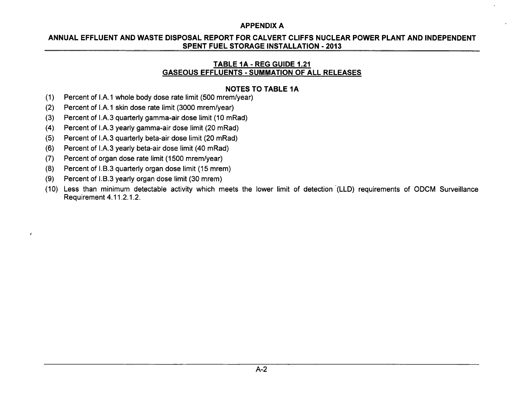## **ANNUAL EFFLUENT AND** WASTE **DISPOSAL** REPORT FOR CALVERT **CLIFFS NUCLEAR** POWER **PLANT AND INDEPENDENT SPENT FUEL** STORAGE **INSTALLATION** - **2013**

## TABLE **1A** - REG **GUIDE** 1.21 **GASEOUS EFFLUENTS** - **SUMMATION** OF **ALL RELEASES**

## **NOTES** TO TABLE **1A**

- (1) Percent of I.A.1 whole body dose rate limit (500 mrem/year)
- (2) Percent of I.A.1 skin dose rate limit (3000 mrem/year)
- (3) Percent of I.A.3 quarterly gamma-air dose limit (10 mRad)
- (4) Percent of I.A.3 yearly gamma-air dose limit (20 mRad)
- (5) Percent of I.A.3 quarterly beta-air dose limit (20 mRad)
- (6) Percent of I.A.3 yearly beta-air dose limit (40 mRad)
- (7) Percent of organ dose rate limit (1500 mrem/year)
- (8) Percent of I.B.3 quarterly organ dose limit (15 mrem)
- (9) Percent of I.B.3 yearly organ dose limit (30 mrem)

 $\epsilon$ 

(10) Less than minimum detectable activity which meets the lower limit of detection (LLD) requirements of ODCM Surveillance Requirement 4.11.2.1.2.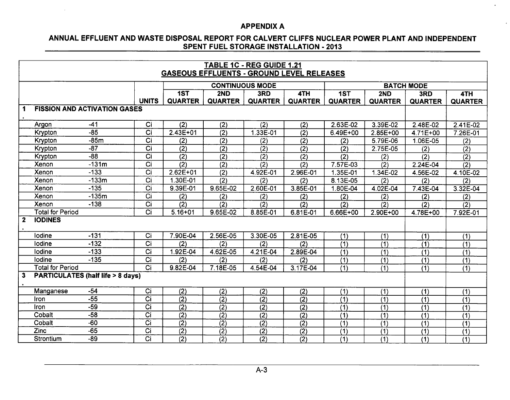$\sim$ 

 $\cdot$ 

## **ANNUAL EFFLUENT AND** WASTE **DISPOSAL** REPORT FOR CALVERT **CLIFFS NUCLEAR** POWER **PLANT AND INDEPENDENT SPENT FUEL** STORAGE **INSTALLATION** - **2013**

|              | TABLE 1C - REG GUIDE 1.21 |                                             |                  |                  |                                                  |                        |                  |                  |                  |                       |                  |  |  |
|--------------|---------------------------|---------------------------------------------|------------------|------------------|--------------------------------------------------|------------------------|------------------|------------------|------------------|-----------------------|------------------|--|--|
|              |                           |                                             |                  |                  | <b>GASEOUS EFFLUENTS - GROUND LEVEL RELEASES</b> |                        |                  |                  |                  |                       |                  |  |  |
|              |                           |                                             |                  |                  |                                                  | <b>CONTINUOUS MODE</b> |                  |                  |                  | <b>BATCH MODE</b>     |                  |  |  |
|              |                           |                                             |                  | 1ST              | 2ND                                              | 3RD                    | 4TH              | $\overline{1ST}$ | 2ND              | 3RD                   | 4TH              |  |  |
|              |                           |                                             | <b>UNITS</b>     | <b>QUARTER</b>   | <b>QUARTER</b>                                   | <b>QUARTER</b>         | <b>QUARTER</b>   | <b>QUARTER</b>   | <b>QUARTER</b>   | <b>QUARTER</b>        | <b>QUARTER</b>   |  |  |
| $\mathbf 1$  |                           | <b>FISSION AND ACTIVATION GASES</b>         |                  |                  |                                                  |                        |                  |                  |                  |                       |                  |  |  |
|              |                           |                                             |                  |                  |                                                  |                        |                  |                  |                  |                       |                  |  |  |
|              | Argon                     | $-41$                                       | $\overline{C}$   | $\overline{(2)}$ | (2)                                              | $\overline{(2)}$       | $\overline{(2)}$ | 2.63E-02         | 3.39E-02         | 2.48E-02              | 2.41E-02         |  |  |
|              | Krypton                   | $-85$                                       | Ci               | $2.43E + 01$     | (2)                                              | 1.33E-01               | (2)              | 6.49E+00         | $2.85E+00$       | 4.71E+00              | 7.26E-01         |  |  |
|              | Krypton                   | $-85m$                                      | $\overline{Ci}$  | (2)              | (2)                                              | $\overline{(2)}$       | $\overline{(2)}$ | (2)              | 5.79E-06         | 1.06E-05              | (2)              |  |  |
|              | Krypton                   | $-87$                                       | $\overline{C}$ i | $\overline{(2)}$ | $\overline{(2)}$                                 | $\overline{(2)}$       | $\overline{(2)}$ | $\overline{(2)}$ | 2.75E-05         | (2)                   | $\overline{(2)}$ |  |  |
|              | Krypton                   | $-\frac{88}{3}$                             | $\overline{Ci}$  | $\overline{(2)}$ | $\overline{(2)}$                                 | $\overline{(2)}$       | (2)              | (2)              | (2)              | $\overline{(2)}$      | $\overline{(2)}$ |  |  |
|              | Xenon                     | $-131m$                                     | $\overline{C}$ i | $\overline{(2)}$ | $\overline{(2)}$                                 | $\overline{(2)}$       | $\overline{(2)}$ | $7.57E-03$       | $\overline{(2)}$ | $2.\overline{24E-04}$ | $\overline{(2)}$ |  |  |
|              | Xenon                     | $-133$                                      | $\overline{C}$ i | $2.62E+01$       | $\overline{(2)}$                                 | 4.92E-01               | 2.96E-01         | 1.35E-01         | $1.34E-02$       | 4.56E-02              | 4.10E-02         |  |  |
|              | Xenon                     | $-133m$                                     | Ĉi               | 1.30E-01         | $\overline{(2)}$                                 | (2)                    | (2)              | 8.13E-05         | (2)              | (2)                   | (2)              |  |  |
|              | Xenon                     | $-135$                                      | $\overline{C}$   | $9.39E-01$       | 9.65E-02                                         | 2.60E-01               | 3.85E-01         | 1.80E-04         | 4.02E-04         | 7.43E-04              | $3.32E-04$       |  |  |
|              | Xenon                     | $-135m$                                     | $\overline{Ci}$  | (2)              | (2)                                              | (2)                    | (2)              | (2)              | (2)              | (2)                   | (2)              |  |  |
|              | Xenon                     | $-138$                                      | $\overline{Ci}$  | $\overline{(2)}$ | (2)                                              | (2)                    | (2)              | (2)              | (2)              | (2)                   | $\overline{(2)}$ |  |  |
|              | <b>Total for Period</b>   |                                             | $\overline{Ci}$  | $5.16 + 01$      | 9.65E-02                                         | 8.85E-01               | 6.81E-01         | 6.66E+00         | 2.90E+00         | 4.78E+00              | 7.92E-01         |  |  |
| $2^{\circ}$  | <b>IODINES</b>            |                                             |                  |                  |                                                  |                        |                  |                  |                  |                       |                  |  |  |
|              |                           |                                             |                  |                  |                                                  |                        |                  |                  |                  |                       |                  |  |  |
|              | lodine                    | $-131$                                      | $\overline{Ci}$  | 7.90E-04         | 2.56E-05                                         | 3.30E-05               | 2.81E-05         | $\overline{(1)}$ | $\overline{(1)}$ | $\overline{(1)}$      | (1)              |  |  |
|              | Iodine                    | $-132$                                      | $\overline{C}$   | (2)              | (2)                                              | (2)                    | (2)              | $\overline{(1)}$ | $\overline{(1)}$ | $\overline{(1)}$      | $\overline{(1)}$ |  |  |
|              | lodine                    | $-133$                                      | $\overline{Ci}$  | 1.92E-04         | 4.62E-05                                         | 4.21E-04               | 2.89E-04         | (1)              | $\overline{(1)}$ | (1)                   | $\overline{(1)}$ |  |  |
|              | lodine                    | $-135$                                      | $\overline{Ci}$  | (2)              | (2)                                              | (2)                    | (2)              | (1)              | (1)              | (1)                   | (1)              |  |  |
|              | <b>Total for Period</b>   |                                             | Ci               | 9.82E-04         | 7.18E-05                                         | 4.54E-04               | 3.17E-04         | (1)              | $\overline{(1)}$ | $\overline{(1)}$      | (1)              |  |  |
| $\mathbf{3}$ |                           | <b>PARTICULATES (half life &gt; 8 days)</b> |                  |                  |                                                  |                        |                  |                  |                  |                       |                  |  |  |
|              |                           |                                             |                  |                  |                                                  |                        |                  |                  |                  |                       |                  |  |  |
|              | Manganese                 | $-54$                                       | Ci               | (2)              | (2)                                              | (2)                    | (2)              | (1)              | (1)              | (1)                   | (1)              |  |  |
|              | Iron                      | $-55$                                       | $\overline{C}$ i | $\overline{(2)}$ | (2)                                              | $\overline{(2)}$       | $\overline{(2)}$ | $\overline{(1)}$ | (1)              | (1)                   | $\overline{(1)}$ |  |  |
|              | <b>Iron</b>               | $-59$                                       | $\overline{Ci}$  | $\overline{(2)}$ | $\overline{(2)}$                                 | (2)                    | $\overline{(2)}$ | (1)              | $\overline{(1)}$ | (1)                   | (1)              |  |  |
|              | Cobalt                    | $-58$                                       | $\overline{Ci}$  | $\overline{(2)}$ | $\overline{(2)}$                                 | $\overline{(2)}$       | $\overline{(2)}$ | (1)              | $\overline{(1)}$ | (1)                   | (1)              |  |  |
|              | Cobalt                    | $\overline{-60}$                            | $\overline{C}$ i | $\overline{(2)}$ | $\overline{(2)}$                                 | $\overline{(2)}$       | $\overline{(2)}$ | (1)              | (1)              | (1)                   | $\overline{(1)}$ |  |  |
|              | Zinc                      | $-\overline{65}$                            | $\overline{Ci}$  | $\overline{(2)}$ | $\overline{(2)}$                                 | (2)                    | (2)              | (1)              | (1)              | (1)                   | $\overline{(1)}$ |  |  |
|              | Strontium                 | $-89$                                       | $\overline{Ci}$  | $\overline{(2)}$ | $\overline{(2)}$                                 | (2)                    | $\overline{(2)}$ | $\overline{(1)}$ | (1)              | $\overline{(1)}$      | $\overline{(1)}$ |  |  |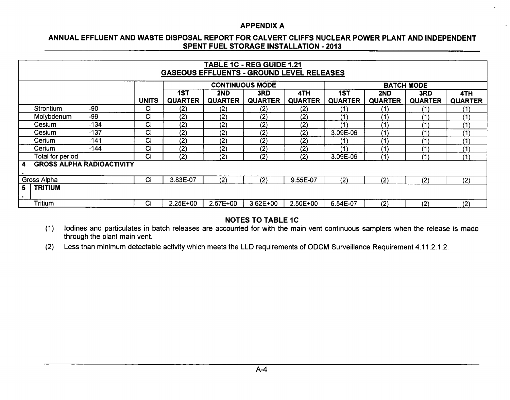$\lambda$ 

## **ANNUAL EFFLUENT AND** WASTE **DISPOSAL** REPORT FOR CALVERT **CLIFFS NUCLEAR** POWER **PLANT AND INDEPENDENT SPENT FUEL** STORAGE **INSTALLATION** - **2013**

|                 | TABLE 1C - REG GUIDE 1.21<br><b>GASEOUS EFFLUENTS - GROUND LEVEL RELEASES</b>                        |        |              |                       |                |                        |                       |                       |                       |                       |                       |  |  |  |
|-----------------|------------------------------------------------------------------------------------------------------|--------|--------------|-----------------------|----------------|------------------------|-----------------------|-----------------------|-----------------------|-----------------------|-----------------------|--|--|--|
|                 |                                                                                                      |        |              |                       |                | <b>CONTINUOUS MODE</b> |                       |                       |                       | <b>BATCH MODE</b>     |                       |  |  |  |
|                 |                                                                                                      |        | <b>UNITS</b> | 1ST<br><b>QUARTER</b> | 2ND<br>QUARTER | 3RD<br><b>QUARTER</b>  | 4TH<br><b>QUARTER</b> | 1ST<br><b>QUARTER</b> | 2ND<br><b>QUARTER</b> | 3RD<br><b>QUARTER</b> | 4TH<br><b>QUARTER</b> |  |  |  |
|                 | Strontium                                                                                            | -90    | Ci           | (2)                   | (2)            | (2)                    | (2)                   | (1)                   | (1)                   | (1)                   | (1)                   |  |  |  |
|                 | Molybdenum                                                                                           | $-99$  | Ci           | (2)                   | (2)            | (2)                    | (2)                   | (1)                   | (1)                   | (1)                   | (1)                   |  |  |  |
|                 | Cesium                                                                                               | $-134$ | Ci           | (2)                   | (2)            | (2)                    | (2)                   | (1)                   | (1)                   | (1)                   | (1)                   |  |  |  |
|                 | Cesium                                                                                               | $-137$ | Ci           | (2)                   | (2)            | (2)                    | (2)                   | 3.09E-06              | (1)                   | (1)                   | (1)                   |  |  |  |
|                 | Cerium                                                                                               | $-141$ | Ci           | (2)                   | (2)            | $\bf (2)$              | (2)                   | (1)                   | (1)                   | (1)                   | (1)                   |  |  |  |
|                 | Cerium                                                                                               | $-144$ | Ci           | (2)                   | (2)            | (2)                    | (2)                   | (1)                   | (1)                   | (1)                   | (1)                   |  |  |  |
|                 | Total for period                                                                                     |        | Ci           | (2)                   | (2)            | (2)                    | (2)                   | 3.09E-06              | (1)                   | (1)                   | (1)                   |  |  |  |
| 4               | <b>GROSS ALPHA RADIOACTIVITY</b>                                                                     |        |              |                       |                |                        |                       |                       |                       |                       |                       |  |  |  |
|                 | Gross Alpha                                                                                          |        | Ci           | 3.83E-07              | (2)            | (2)                    | 9.55E-07              | (2)                   | (2)                   | (2)                   | (2)                   |  |  |  |
| 5.<br>$\bullet$ | <b>TRITIUM</b>                                                                                       |        |              |                       |                |                        |                       |                       |                       |                       |                       |  |  |  |
|                 | Tritium<br>Ci<br>2.57E+00<br>$2.25E+00$<br>$3.62E + 00$<br>(2)<br>2.50E+00<br>6.54E-07<br>(2)<br>(2) |        |              |                       |                |                        |                       |                       |                       |                       |                       |  |  |  |

## **NOTES** TO TABLE **1C**

(1) lodines and particulates in batch releases are accounted for with the main vent continuous samplers when the release is made through the plant main vent.

(2) Less than minimum detectable activity which meets the LLD requirements of ODCM Surveillance Requirement 4.11.2.1.2.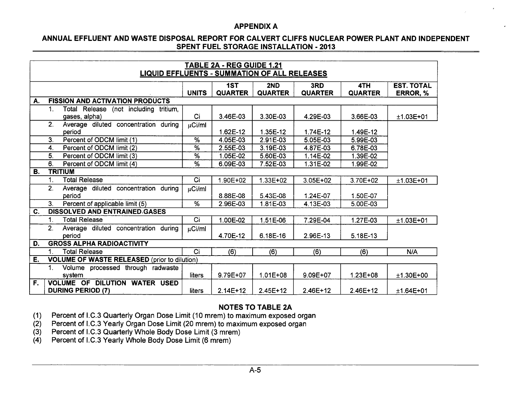## **ANNUAL EFFLUENT AND** WASTE **DISPOSAL** REPORT FOR CALVERT **CLIFFS NUCLEAR** POWER **PLANT AND INDEPENDENT SPENT FUEL** STORAGE **INSTALLATION** - **2013**

|    | <b>TABLE 2A - REG GUIDE 1.21</b><br><b>LIQUID EFFLUENTS - SUMMATION OF ALL RELEASES</b> |                                                                  |                 |                       |                       |                       |                       |                               |  |  |  |  |  |  |
|----|-----------------------------------------------------------------------------------------|------------------------------------------------------------------|-----------------|-----------------------|-----------------------|-----------------------|-----------------------|-------------------------------|--|--|--|--|--|--|
|    |                                                                                         |                                                                  | <b>UNITS</b>    | 1ST<br><b>QUARTER</b> | 2ND<br><b>QUARTER</b> | 3RD<br><b>QUARTER</b> | 4TH<br><b>QUARTER</b> | <b>EST. TOTAL</b><br>ERROR, % |  |  |  |  |  |  |
| А. |                                                                                         | <b>FISSION AND ACTIVATION PRODUCTS</b>                           |                 |                       |                       |                       |                       |                               |  |  |  |  |  |  |
|    | 1.                                                                                      | Total Release (not including tritium,<br>gases, alpha)           | Ci              | 3.46E-03              | 3.30E-03              | 4.29E-03              | 3.66E-03              | $±1.03E+01$                   |  |  |  |  |  |  |
|    | $\overline{2}$                                                                          | Average diluted concentration during<br>period                   | µCi/ml          | 1.62E-12              | 1.35E-12              | 1.74E-12              | 1.49E-12              |                               |  |  |  |  |  |  |
|    | 3.                                                                                      | Percent of ODCM limit (1)                                        | %               | 4.05E-03              | 2.91E-03              | 5.05E-03              | 5.99E-03              |                               |  |  |  |  |  |  |
|    | 4.                                                                                      | Percent of ODCM limit (2)                                        | $\overline{\%}$ | 2.55E-03              | 3.19E-03              | 4.87E-03              | 6.78E-03              |                               |  |  |  |  |  |  |
|    | 5.                                                                                      | Percent of ODCM limit (3)                                        | %               | 1.05E-02              | 5.60E-03              | 1.14E-02              | 1.39E-02              |                               |  |  |  |  |  |  |
|    | 6.                                                                                      | Percent of ODCM limit (4)                                        | %               | 6.09E-03              | 7.52E-03              | 1.31E-02              | 1.99E-02              |                               |  |  |  |  |  |  |
| В. |                                                                                         | <b>TRITIUM</b>                                                   |                 |                       |                       |                       |                       |                               |  |  |  |  |  |  |
|    | 1.                                                                                      | <b>Total Release</b>                                             | Ci              | 1.90E+02              | $1.33E + 02$          | $3.05E + 02$          | 3.70E+02              | $±1.03E+01$                   |  |  |  |  |  |  |
|    | 2.                                                                                      | Average diluted concentration during<br>period                   | $\mu$ Ci/ml     | 8.88E-08              | 5.43E-08              | 1.24E-07              | 1.50E-07              |                               |  |  |  |  |  |  |
|    | 3 <sub>1</sub>                                                                          | Percent of applicable limit (5)                                  | $\overline{\%}$ | 2.96E-03              | 1.81E-03              | 4.13E-03              | 5.00E-03              |                               |  |  |  |  |  |  |
| C. |                                                                                         | <b>DISSOLVED AND ENTRAINED GASES</b>                             |                 |                       |                       |                       |                       |                               |  |  |  |  |  |  |
|    | 1.                                                                                      | <b>Total Release</b>                                             | Ci              | 1.00E-02              | 1.51E-06              | 7.29E-04              | 1.27E-03              | $±1.03E+01$                   |  |  |  |  |  |  |
|    | 2.                                                                                      | Average diluted concentration during<br>period                   | $\mu$ Ci/ml     | 4.70E-12              | 6.18E-16              | 2.96E-13              | 5.18E-13              |                               |  |  |  |  |  |  |
| D. |                                                                                         | <b>GROSS ALPHA RADIOACTIVITY</b>                                 |                 |                       |                       |                       |                       |                               |  |  |  |  |  |  |
|    | $\mathbf 1$                                                                             | <b>Total Release</b>                                             | Ci              | (6)                   | (6)                   | (6)                   | (6)                   | N/A                           |  |  |  |  |  |  |
| Е. | <b>VOLUME OF WASTE RELEASED (prior to dilution)</b>                                     |                                                                  |                 |                       |                       |                       |                       |                               |  |  |  |  |  |  |
|    | $\mathbf{1}$ .                                                                          | Volume processed through radwaste<br>system                      | liters          | 9.79E+07              | $1.01E + 08$          | 9.09E+07              | $1.23E + 08$          | $±1.30E+00$                   |  |  |  |  |  |  |
| F. |                                                                                         | <b>VOLUME OF DILUTION WATER USED</b><br><b>DURING PERIOD (7)</b> | liters          | $2.14E+12$            | $2.45E+12$            | $2.46E+12$            | 2.46E+12              | $±1.64E+01$                   |  |  |  |  |  |  |

## **NOTES TO TABLE 2A**

- $(1)$ Percent of **I.C.3** Quarterly Organ Dose Limit **(10** mrem) to maximum exposed organ
- (2) Percent of **l.C.3** Yearly Organ Dose Limit (20 mrem) to maximum exposed organ
- **(3)** Percent of **I.C.3** Quarterly Whole Body Dose Limit **(3** mrem)
- (4) Percent of **I.C.3** Yearly Whole Body Dose Limit **(6** mrem)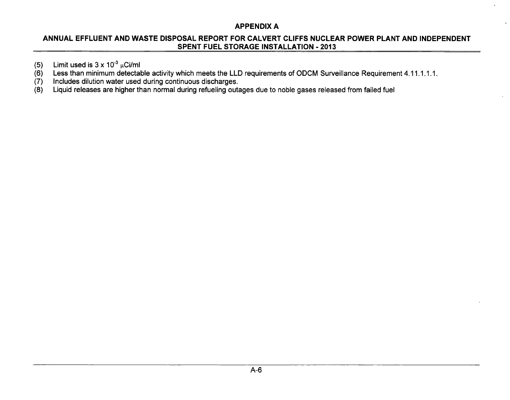## **ANNUAL EFFLUENT AND** WASTE **DISPOSAL** REPORT FOR CALVERT **CLIFFS NUCLEAR** POWER **PLANT AND INDEPENDENT SPENT FUEL** STORAGE **INSTALLATION** - **2013**

- (5) Limit used is  $3 \times 10^{-3} \mu$ Ci/ml<br>(6) Less than minimum detectal
- (6) Less than minimum detectable activity which meets the LLD requirements of ODCM Surveillance Requirement 4.11.1.1.1.<br>(7) Includes dilution water used during continuous discharges.
- (7) Includes dilution water used during continuous discharges.<br>(8) Liquid releases are higher than normal during refueling out
- Liquid releases are higher than normal during refueling outages due to noble gases released from failed fuel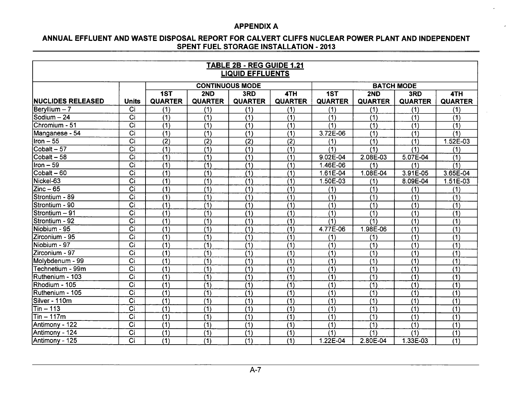$\ddot{\phantom{0}}$ 

## **ANNUAL EFFLUENT AND** WASTE **DISPOSAL** REPORT FOR CALVERT **CLIFFS NUCLEAR** POWER **PLANT AND INDEPENDENT SPENT FUEL** STORAGE **INSTALLATION** - **2013**

| TABLE 2B - REG GUIDE 1.21<br><b>LIQUID EFFLUENTS</b> |                  |                  |                  |                        |                  |                  |                  |                   |                  |  |  |  |  |
|------------------------------------------------------|------------------|------------------|------------------|------------------------|------------------|------------------|------------------|-------------------|------------------|--|--|--|--|
|                                                      |                  |                  |                  | <b>CONTINUOUS MODE</b> |                  |                  |                  | <b>BATCH MODE</b> |                  |  |  |  |  |
|                                                      |                  | 1ST              | 2ND              | 3RD                    | 4TH              | 1ST              | 2ND              | 3RD               | 4TH              |  |  |  |  |
| NUCLIDES RELEASED                                    | <b>Units</b>     | <b>QUARTER</b>   | <b>QUARTER</b>   | <b>QUARTER</b>         | <b>QUARTER</b>   | <b>QUARTER</b>   | <b>QUARTER</b>   | <b>QUARTER</b>    | <b>QUARTER</b>   |  |  |  |  |
| $\text{Berv}$ llium $-7$                             | Ci               | (1)              | (1)              | (1)                    | (1)              | (1)              | (1)              | (1)               | (1)              |  |  |  |  |
| Sodium - 24                                          | $\overline{Ci}$  | (1)              | (1)              | (1)                    | (1)              | (1)              | (1)              | (1)               | (1)              |  |  |  |  |
| Chromium - 51                                        | $\overline{C}$ i | $\overline{(1)}$ | (1)              | (1)                    | (1)              | (1)              | (1)              | $\overline{(1)}$  | $\overline{(1)}$ |  |  |  |  |
| Manganese - 54                                       | $\overline{C}$ i | $\overline{(1)}$ | $\overline{(1)}$ | $\overline{(1)}$       | $\overline{(1)}$ | 3.72E-06         | $\overline{(1)}$ | $\overline{(1)}$  | (1)              |  |  |  |  |
| $ $ Iron $-55$                                       | $\overline{C}$ i | $\overline{(2)}$ | (2)              | $\overline{(2)}$       | (2)              | (1)              | (1)              | (1)               | 1.52E-03         |  |  |  |  |
| Cobalt - 57                                          | $\overline{C}$ i | $\overline{(1)}$ | $\overline{(1)}$ | $\overline{(1)}$       | (1)              | (1)              | (1)              | (1)               | (1)              |  |  |  |  |
| $\overline{\text{Cobalt}} - 58$                      | $\overline{C}$ i | $\overline{(1)}$ | $\overline{(1)}$ | $\overline{(1)}$       | $\overline{(1)}$ | $9.02E - 04$     | 2.08E-03         | 5.07E-04          | $\overline{(1)}$ |  |  |  |  |
| Iron – 59                                            | $\overline{C}$ i | $\overline{(1)}$ | $\overline{(1)}$ | (1)                    | $\overline{(1)}$ | 1.46E-06         | (1)              | (1)               | (1)              |  |  |  |  |
| $Cobalt - 60$                                        | $\overline{Ci}$  | $\overline{(1)}$ | (1)              | $\overline{(1)}$       | $\overline{(1)}$ | $1.61E-04$       | 1.08E-04         | 3.91E-05          | 3.65E-04         |  |  |  |  |
| Nickel-63                                            | $\overline{Ci}$  | $\overline{(1)}$ | $\overline{(1)}$ | $\overline{(1)}$       | $\overline{(1)}$ | 1.50E-03         | (1)              | 8.09E-04          | $1.51E-03$       |  |  |  |  |
| $Zinc-65$                                            | $\overline{Ci}$  | $\overline{(1)}$ | (1)              | (1)                    | $\overline{(1)}$ | (1)              | (1)              | (1)               | (1)              |  |  |  |  |
| Strontium - 89                                       | $\overline{Ci}$  | (1)              | (1)              | $\overline{(1)}$       | $\overline{(1)}$ | (1)              | (1)              | (1)               | (1)              |  |  |  |  |
| Strontium - 90                                       | $\overline{C}$   | $\overline{(1)}$ | $\overline{(1)}$ | $\overline{(1)}$       | $\overline{(1)}$ | $\overline{(1)}$ | $\overline{(1)}$ | (1)               | (1)              |  |  |  |  |
| Strontium - 91                                       | $\overline{C}$ i | (1)              | (1)              | (1)                    | (1)              | (1)              | (1)              | (1)               | (1)              |  |  |  |  |
| Strontium - 92                                       | $\overline{C}$ i | $\overline{(1)}$ | (1)              | (1)                    | (1)              | $\overline{(1)}$ | (1)              | $\overline{(1)}$  | (1)              |  |  |  |  |
| Niobium - 95                                         | $\overline{C}$ i | $\overline{(1)}$ | (1)              | $\overline{(1)}$       | (1)              | 4.77E-06         | 1.98E-06         | $\overline{(1)}$  | $\overline{(1)}$ |  |  |  |  |
| IZirconium - 95                                      | $\overline{C}$ i | $\overline{(1)}$ | $\overline{(1)}$ | $\overline{(1)}$       | (1)              | (1)              | (1)              | (1)               | (1)              |  |  |  |  |
| Niobium - 97                                         | $\overline{C}$ i | $\overline{(1)}$ | $\overline{(1)}$ | $\overline{(1)}$       | $\overline{(1)}$ | $\overline{(1)}$ | $\overline{(1)}$ | $\overline{(1)}$  | $\overline{(1)}$ |  |  |  |  |
| Zirconium - 97                                       | $\overline{Ci}$  | $\overline{(1)}$ | $\overline{(1)}$ | $\overline{(1)}$       | (1)              | (1)              | $\overline{(1)}$ | $\overline{(1)}$  | $\overline{(1)}$ |  |  |  |  |
| Molybdenum - 99                                      | $\overline{C}$ i | $\overline{(1)}$ | (1)              | (1)                    | (1)              | (1)              | (1)              | (1)               | (1)              |  |  |  |  |
| Technetium - 99m                                     | $\overline{C}$ i | $\overline{(1)}$ | (1)              | $\overline{(1)}$       | $\overline{(1)}$ | $\overline{(1)}$ | $\overline{(1)}$ | $\overline{(1)}$  | (1)              |  |  |  |  |
| Ruthenium - 103                                      | $\overline{C}$ i | $\overline{(1)}$ | $\overline{(1)}$ | $\overline{(1)}$       | $\overline{(1)}$ | $\overline{(1)}$ | $\overline{(1)}$ | $\overline{(1)}$  | (1)              |  |  |  |  |
| Rhodium - 105                                        | $\overline{C}$ i | $\overline{(1)}$ | $\overline{(1)}$ | $\overline{(1)}$       | $\overline{(1)}$ | $\overline{(1)}$ | $\overline{(1)}$ | (1)               | (1)              |  |  |  |  |
| Ruthenium - 105                                      | $\overline{C}$ i | $\overline{(1)}$ | (1)              | $\overline{(1)}$       | $\overline{(1)}$ | $\overline{(1)}$ | (1)              | (1)               | $\overline{(1)}$ |  |  |  |  |
| Silver - 110m                                        | $\overline{C}$ i | $\overline{(1)}$ | (1)              | $\overline{(1)}$       | $\overline{(1)}$ | $\overline{(1)}$ | (1)              | (1)               | $\overline{(1)}$ |  |  |  |  |
| $Tin - 113$                                          | Ci               | (1)              | (1)              | (1)                    | (1)              | (1)              | (1)              | (1)               | (1)              |  |  |  |  |
| Tin – 117m                                           | $\overline{C}$ i | (1)              | (1)              | (1)                    | (1)              | (1)              | (1)              | (1)               | (1)              |  |  |  |  |
| Antimony - 122                                       | $\overline{C}$ i | $\overline{(1)}$ | (1)              | $\overline{(1)}$       | $\overline{(1)}$ | (1)              | $\overline{(1)}$ | $\overline{(1)}$  | $\overline{(1)}$ |  |  |  |  |
| Antimony - 124                                       | $\overline{ci}$  | $\overline{(1)}$ | (1)              | $\overline{(1)}$       | (1)              | (1)              | (1)              | (1)               | (1)              |  |  |  |  |
| Antimony - 125                                       | $\overline{Ci}$  | $\overline{(1)}$ | $\overline{(1)}$ | $\overline{(1)}$       | (1)              | 1.22E-04         | 2.80E-04         | 1.33E-03          | $\overline{(1)}$ |  |  |  |  |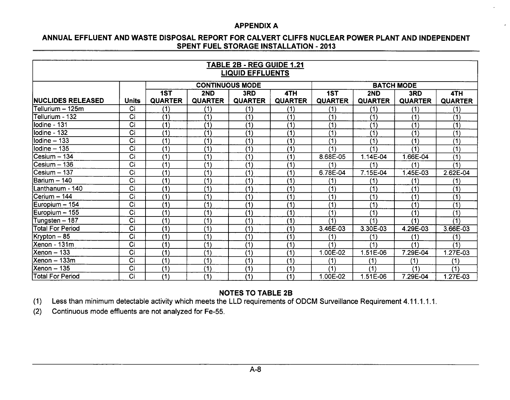#### **ANNUAL EFFLUENT AND** WASTE **DISPOSAL** REPORT FOR CALVERT **CLIFFS NUCLEAR** POWER **PLANT AND INDEPENDENT SPENT FUEL** STORAGE **INSTALLATION** - **2013**

| <b>TABLE 2B - REG GUIDE 1.21</b><br><b>LIQUID EFFLUENTS</b> |                  |                        |                  |                  |                   |                |                |                |                |
|-------------------------------------------------------------|------------------|------------------------|------------------|------------------|-------------------|----------------|----------------|----------------|----------------|
|                                                             |                  | <b>CONTINUOUS MODE</b> |                  |                  | <b>BATCH MODE</b> |                |                |                |                |
|                                                             |                  | 1ST                    | 2ND              | 3RD              | 4TH               | 1ST            | 2ND            | 3RD            | 4TH            |
| <b>INUCLIDES RELEASED</b>                                   | <b>Units</b>     | <b>QUARTER</b>         | <b>QUARTER</b>   | <b>QUARTER</b>   | <b>QUARTER</b>    | <b>QUARTER</b> | <b>QUARTER</b> | <b>QUARTER</b> | <b>QUARTER</b> |
| Tellurium – 125m                                            | Ci               | (1)                    | (1)              | (1)              | (1)               | (1)            | (1)            | (1)            | (1)            |
| Tellurium - 132                                             | $\overline{C}$ i | (1)                    | $\overline{(1)}$ | (1)              | (1)               | (1)            | (1)            | (1)            | (1)            |
| llodine - 131                                               | Ci               | (1)                    | (1)              | (1)              | (1)               | (1)            | (1)            | (1)            | (1)            |
| $I$ lodine - 132                                            | Ci               | (1)                    | (1)              | (1)              | (1)               | (1)            | (1)            | (1)            | (1)            |
| Iodine - 133                                                | $\overline{C}$ i | (1)                    | $\overline{(1)}$ | $\overline{(1)}$ | (1)               | (1)            | (1)            | (1)            | (1)            |
| lodine - 135                                                | Ci               | (1)                    | (1)              | (1)              | (1)               | (1)            | (1)            | (1)            | (1)            |
| $ C$ esium - 134                                            | Ci               | (1)                    | (1)              | $\overline{(1)}$ | (1)               | 8.68E-05       | 1.14E-04       | .66E-04        | (1)            |
| $C$ esium $-136$                                            | Ci               | (1)                    | (1)              | (1)              | $\overline{(1)}$  | (1)            | (1)            | (1)            | (1)            |
| Cesium - 137                                                | Ci               | (1)                    | (1)              | (1)              | (1)               | 6.78E-04       | 7.15E-04       | 1.45E-03       | 2.62E-04       |
| Barium - 140                                                | Ci               | (1)                    | (1)              | (1)              | (1)               | (1)            | (1)            | (1)            | (1)            |
| Lanthanum - 140                                             | Ci               | (1)                    | (1)              | (1)              | (1)               | (1)            | (1)            | (1)            | (1)            |
| lCerium – 144                                               | Ci               | (1)                    | (1)              | (1)              | (1)               | (1)            | (1)            | (1)            | (1)            |
| Europium - 154                                              | Ci               | (1)                    | (1)              | (1)              | (1)               | (1)            | (1)            | (1)            | (1)            |
| Europium - 155                                              | Ci               | (1)                    | (1)              | (1)              | (1)               | (1)            | (1)            | (1)            | (1)            |
| Tungsten - 187                                              | Ci               | (1)                    | (1)              | (1)              | (1)               | (1)            | (1)            | (1)            | (1)            |
| Total For Period                                            | $\overline{Ci}$  | (1)                    | (1)              | (1)              | (1)               | 3.46E-03       | 3.30E-03       | 4.29E-03       | 3.66E-03       |
| Krypton - 85                                                | $\overline{Ci}$  | (1)                    | (1)              | (1)              | (1)               | (1)            | (1)            | (1)            | (1)            |
| Xenon - 131m                                                | Ci               | (1)                    | (1)              | (1)              | (1)               | (1)            | (1)            | (1)            | (1)            |
| Xenon - 133                                                 | $\overline{C}$ i | (1)                    | (1)              | (1)              | (1)               | 1.00E-02       | 1.51E-06       | 7.29E-04       | 1.27E-03       |
| Xenon – 133m                                                | $\overline{C}$ i | (1)                    | (1)              | (1)              | (1)               | (1)            | (1)            | (1)            | (1)            |
| <b>Xenon - 135</b>                                          | Ci               | (1)                    | (1)              | (1)              | (1)               | (1)            | (1)            | (1)            | (1)            |
| Total For Period                                            | $\overline{ci}$  | (1)                    | (1)              | $\overline{(1)}$ | (1)               | 1.00E-02       | 1.51E-06       | 7.29E-04       | 1.27E-03       |

## **NOTES** TO TABLE 2B

(1) Less than minimum detectable activity which meets the LLD requirements of ODCM Surveillance Requirement 4.11.1.1.1.

(2) Continuous mode effluents are not analyzed for Fe-55.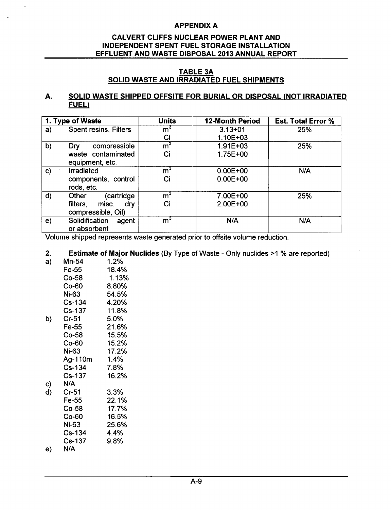## CALVERT **CLIFFS NUCLEAR** POWER **PLANT AND INDEPENDENT SPENT FUEL** STORAGE **INSTALLATION EFFLUENT AND** WASTE **DISPOSAL 2013 ANNUAL** REPORT

## TABLE **3A SOLID** WASTE **AND** IRRADIATED **FUEL SHIPMENTS**

## **A. SOLID** WASTE **SHIPPED OFFSITE** FOR BURIAL OR **DISPOSAL (NOT** IRRADIATED **FUEL)**

| 1. Type of Waste |                                                | <b>Units</b>   | <b>12-Month Period</b> | <b>Est. Total Error %</b> |
|------------------|------------------------------------------------|----------------|------------------------|---------------------------|
| a)               | <b>Spent resins, Filters</b>                   | $\mathsf{m}^3$ | $3.13 + 01$            | 25%                       |
|                  |                                                | Ci             | $1.10E + 03$           |                           |
| b)               | compressible<br>Dry                            | $\mathsf{m}^3$ | $1.91E + 03$           | 25%                       |
|                  | waste, contaminated<br>equipment, etc.         | Ci             | 1.75E+00               |                           |
| $\mathbf{c}$     | <b>Irradiated</b>                              | $\mathsf{m}^3$ | $0.00E + 00$           | N/A                       |
|                  | components, control<br>rods, etc.              | Ci             | $0.00E + 00$           |                           |
| d)               | (cartridge<br>Other                            | m <sup>3</sup> | 7.00E+00               | 25%                       |
|                  | filters,<br>misc.<br>dry<br>compressible, Oil) | Ci             | 2.00E+00               |                           |
| e)               | Solidification<br>agent<br>or absorbent        | $\mathsf{m}^3$ | N/A                    | N/A                       |

Volume shipped represents waste generated prior to offsite volume reduction.

## 2. Estimate of Major Nuclides (By Type of Waste - Only nuclides >1 % are reported)

| a) | Mn-54         | 1.2%    |
|----|---------------|---------|
|    | Fe-55         | 18.4%   |
|    | Co-58         | 1.13%   |
|    | Co-60         | 8.80%   |
|    | Ni-63         | 54.5%   |
|    | Cs-134        | 4.20%   |
|    | <b>Cs-137</b> | 11.8%   |
| b) | $Cr-51$       | 5.0%    |
|    | Fe-55         | 21.6%   |
|    | Co-58         | 15.5%   |
|    | Co-60         | 15.2%   |
|    | Ni-63         | 17.2%   |
|    | Ag-110m       | $1.4\%$ |
|    | Cs-134        | 7.8%    |
|    | Cs-137        | 16.2%   |
| c) | N/A           |         |
| d) | Cr-51         | 3.3%    |
|    | Fe-55         | 22.1%   |
|    | $Co-58$       | 17.7%   |
|    | $Co-60$       | 16.5%   |
|    | Ni-63         | 25.6%   |

- Cs-134 4.4% Cs-137 9.8%
- e) N/A